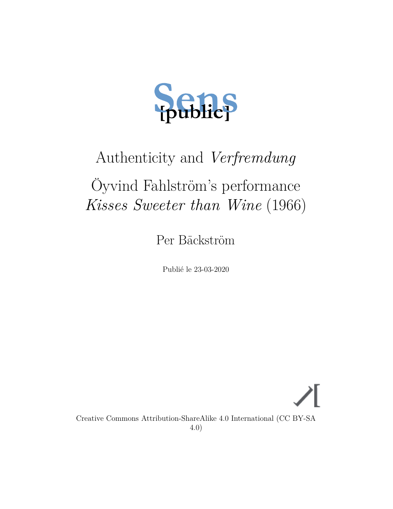

# Authenticity and *Verfremdung*

# Öyvind Fahlström's performance *Kisses Sweeter than Wine* (1966)

Per Bäckström

Publié le 23-03-2020

Creative Commons Attribution-ShareAlike 4.0 International (CC BY-SA 4.0)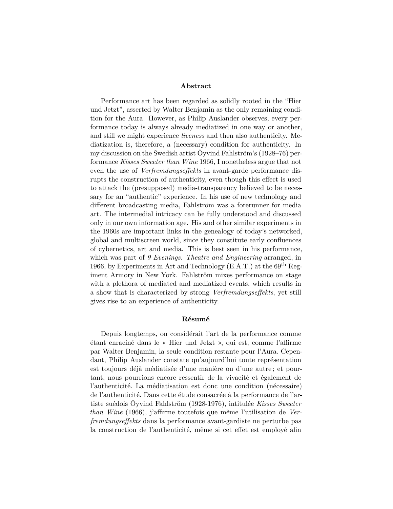#### **Abstract**

Performance art has been regarded as solidly rooted in the "Hier und Jetzt", asserted by Walter Benjamin as the only remaining condition for the Aura. However, as Philip Auslander observes, every performance today is always already mediatized in one way or another, and still we might experience *liveness* and then also authenticity. Mediatization is, therefore, a (necessary) condition for authenticity. In my discussion on the Swedish artist Öyvind Fahlström's (1928–76) performance *Kisses Sweeter than Wine* 1966, I nonetheless argue that not even the use of *Verfremdungseffekts* in avant-garde performance disrupts the construction of authenticity, even though this effect is used to attack the (presupposed) media-transparency believed to be necessary for an "authentic" experience. In his use of new technology and different broadcasting media, Fahlström was a forerunner for media art. The intermedial intricacy can be fully understood and discussed only in our own information age. His and other similar experiments in the 1960s are important links in the genealogy of today's networked, global and multiscreen world, since they constitute early confluences of cybernetics, art and media. This is best seen in his performance, which was part of *9 Evenings*. *Theatre and Engineering* arranged, in 1966, by Experiments in Art and Technology (E.A.T.) at the  $69<sup>th</sup>$  Regiment Armory in New York. Fahlström mixes performance on stage with a plethora of mediated and mediatized events, which results in a show that is characterized by strong *Verfremdungseffekts*, yet still gives rise to an experience of authenticity.

#### **Résumé**

Depuis longtemps, on considérait l'art de la performance comme étant enraciné dans le « Hier und Jetzt », qui est, comme l'affirme par Walter Benjamin, la seule condition restante pour l'Aura. Cependant, Philip Auslander constate qu'aujourd'hui toute représentation est toujours déjà médiatisée d'une manière ou d'une autre ; et pourtant, nous pourrions encore ressentir de la vivacité et également de l'authenticité. La médiatisation est donc une condition (nécessaire) de l'authenticité. Dans cette étude consacrée à la performance de l'artiste suédois Öyvind Fahlström (1928-1976), intitulée *Kisses Sweeter than Wine* (1966), j'affirme toutefois que même l'utilisation de *Verfremdungseffekts* dans la performance avant-gardiste ne perturbe pas la construction de l'authenticité, même si cet effet est employé afin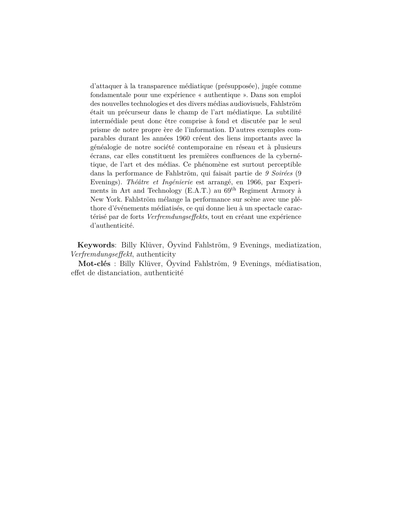d'attaquer à la transparence médiatique (présupposée), jugée comme fondamentale pour une expérience « authentique ». Dans son emploi des nouvelles technologies et des divers médias audiovisuels, Fahlström était un précurseur dans le champ de l'art médiatique. La subtilité intermédiale peut donc être comprise à fond et discutée par le seul prisme de notre propre ère de l'information. D'autres exemples comparables durant les années 1960 créent des liens importants avec la généalogie de notre société contemporaine en réseau et à plusieurs écrans, car elles constituent les premières confluences de la cybernétique, de l'art et des médias. Ce phénomène est surtout perceptible dans la performance de Fahlström, qui faisait partie de *9 Soirées* (9 Evenings). *Théâtre et Ingénierie* est arrangé, en 1966, par Experiments in Art and Technology (E.A.T.) au 69th Regiment Armory à New York. Fahlström mélange la performance sur scène avec une pléthore d'événements médiatisés, ce qui donne lieu à un spectacle caractérisé par de forts *Verfremdungseffekts*, tout en créant une expérience d'authenticité.

**Keywords**: Billy Klüver, Öyvind Fahlström, 9 Evenings, mediatization, *Verfremdungseffekt*, authenticity

**Mot-clés** : Billy Klüver, Öyvind Fahlström, 9 Evenings, médiatisation, effet de distanciation, authenticité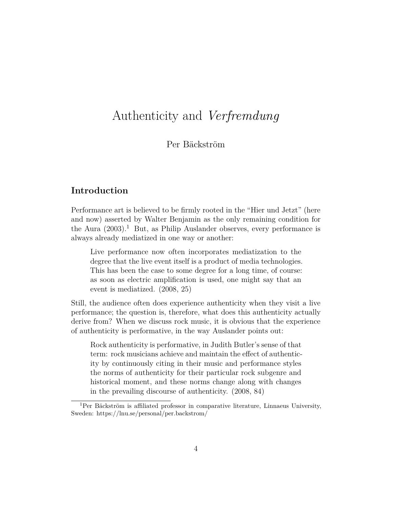## Authenticity and *Verfremdung*

### Per Bäckström

## **Introduction**

Performance art is believed to be firmly rooted in the "Hier und Jetzt" (here and now) asserted by Walter Benjamin as the only remaining condition for the Aura  $(2003)^1$  $(2003)^1$  $(2003)^1$  $(2003)^1$  But, as Philip Auslander observes, every performance is always already mediatized in one way or another:

Live performance now often incorporates mediatization to the degree that the live event itself is a product of media technologies. This has been the case to some degree for a long time, of course: as soon as electric amplification is used, one might say that an event is mediatized. ([2008](#page-19-1), 25)

Still, the audience often does experience authenticity when they visit a live performance; the question is, therefore, what does this authenticity actually derive from? When we discuss rock music, it is obvious that the experience of authenticity is performative, in the way Auslander points out:

Rock authenticity is performative, in Judith Butler's sense of that term: rock musicians achieve and maintain the effect of authenticity by continuously citing in their music and performance styles the norms of authenticity for their particular rock subgenre and historical moment, and these norms change along with changes in the prevailing discourse of authenticity. [\(2008,](#page-19-1) 84)

<span id="page-3-0"></span><sup>1</sup>Per Bäckström is affiliated professor in comparative literature, Linnaeus University, Sweden: <https://lnu.se/personal/per.backstrom/>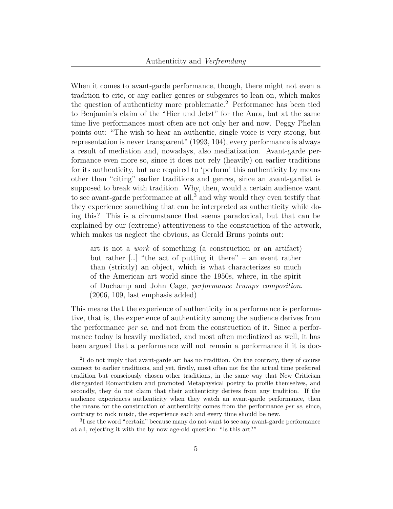When it comes to avant-garde performance, though, there might not even a tradition to cite, or any earlier genres or subgenres to lean on, which makes the question of authenticity more problematic.[2](#page-4-0) Performance has been tied to Benjamin's claim of the "Hier und Jetzt" for the Aura, but at the same time live performances most often are not only her and now. Peggy Phelan points out: "The wish to hear an authentic, single voice is very strong, but representation is never transparent" [\(1993](#page-21-0), 104), every performance is always a result of mediation and, nowadays, also mediatization. Avant-garde performance even more so, since it does not rely (heavily) on earlier traditions for its authenticity, but are required to 'perform' this authenticity by means other than "citing" earlier traditions and genres, since an avant-gardist is supposed to break with tradition. Why, then, would a certain audience want to see avant-garde performance at all,<sup>[3](#page-4-1)</sup> and why would they even testify that they experience something that can be interpreted as authenticity while doing this? This is a circumstance that seems paradoxical, but that can be explained by our (extreme) attentiveness to the construction of the artwork, which makes us neglect the obvious, as Gerald Bruns points out:

art is not a *work* of something (a construction or an artifact) but rather […] "the act of putting it there" – an event rather than (strictly) an object, which is what characterizes so much of the American art world since the 1950s, where, in the spirit of Duchamp and John Cage, *performance trumps composition*. ([2006](#page-19-2), 109, last emphasis added)

This means that the experience of authenticity in a performance is performative, that is, the experience of authenticity among the audience derives from the performance *per se*, and not from the construction of it. Since a performance today is heavily mediated, and most often mediatized as well, it has been argued that a performance will not remain a performance if it is doc-

<span id="page-4-0"></span><sup>&</sup>lt;sup>2</sup>I do not imply that avant-garde art has no tradition. On the contrary, they of course connect to earlier traditions, and yet, firstly, most often not for the actual time preferred tradition but consciously chosen other traditions, in the same way that New Criticism disregarded Romanticism and promoted Metaphysical poetry to profile themselves, and secondly, they do not claim that their authenticity derives from any tradition. If the audience experiences authenticity when they watch an avant-garde performance, then the means for the construction of authenticity comes from the performance *per se*, since, contrary to rock music, the experience each and every time should be new.

<span id="page-4-1"></span><sup>&</sup>lt;sup>3</sup>I use the word "certain" because many do not want to see any avant-garde performance at all, rejecting it with the by now age-old question: "Is this art?"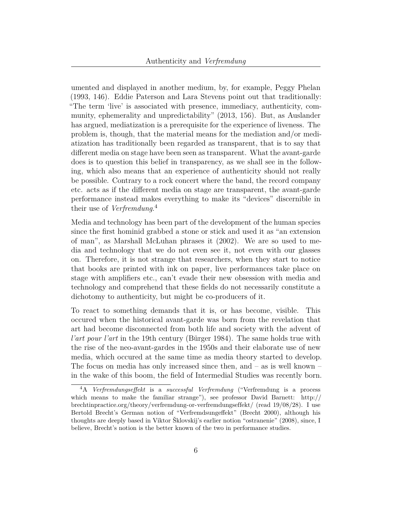umented and displayed in another medium, by, for example, Peggy Phelan [\(1993](#page-21-0), 146). Eddie Paterson and Lara Stevens point out that traditionally: "The term 'live' is associated with presence, immediacy, authenticity, community, ephemerality and unpredictability" ([2013](#page-21-1), 156). But, as Auslander has argued, mediatization is a prerequisite for the experience of liveness. The problem is, though, that the material means for the mediation and/or mediatization has traditionally been regarded as transparent, that is to say that different media on stage have been seen as transparent. What the avant-garde does is to question this belief in transparency, as we shall see in the following, which also means that an experience of authenticity should not really be possible. Contrary to a rock concert where the band, the record company etc. acts as if the different media on stage are transparent, the avant-garde performance instead makes everything to make its "devices" discernible in their use of *Verfremdung*. [4](#page-5-0)

Media and technology has been part of the development of the human species since the first hominid grabbed a stone or stick and used it as "an extension of man", as Marshall McLuhan phrases it [\(2002\)](#page-21-2). We are so used to media and technology that we do not even see it, not even with our glasses on. Therefore, it is not strange that researchers, when they start to notice that books are printed with ink on paper, live performances take place on stage with amplifiers etc., can't evade their new obsession with media and technology and comprehend that these fields do not necessarily constitute a dichotomy to authenticity, but might be co-producers of it.

To react to something demands that it is, or has become, visible. This occured when the historical avant-garde was born from the revelation that art had become disconnected from both life and society with the advent of *l'art pour l'art* in the 19th century (Bürger [1984\)](#page-20-0). The same holds true with the rise of the neo-avant-gardes in the 1950s and their elaborate use of new media, which occured at the same time as media theory started to develop. The focus on media has only increased since then, and  $-$  as is well known  $$ in the wake of this boom, the field of Intermedial Studies was recently born.

<span id="page-5-0"></span><sup>4</sup>A *Verfremdungseffekt* is a *successful Verfremdung* ("Verfremdung is a process which means to make the familiar strange"), see professor David Barnett: [http://](http://brechtinpractice.org/theory/verfremdung-or-verfremdungseffekt/) [brechtinpractice.org/theory/verfremdung-or-verfremdungseffekt/](http://brechtinpractice.org/theory/verfremdung-or-verfremdungseffekt/) (read 19/08/28). I use Bertold Brecht's German notion of "Verfremdsungeffekt" (Brecht [2000](#page-19-3)), although his thoughts are deeply based in Viktor Šklovskij's earlier notion "ostranenie" [\(2008](#page-22-0)), since, I believe, Brecht's notion is the better known of the two in performance studies.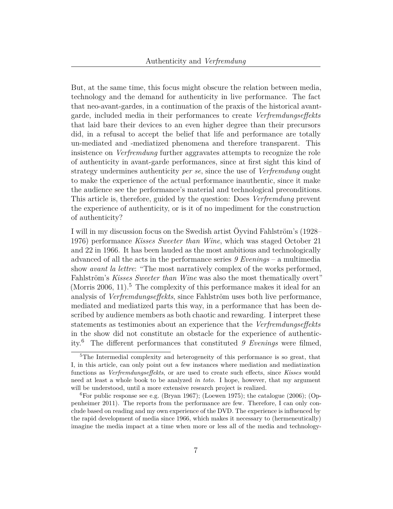But, at the same time, this focus might obscure the relation between media, technology and the demand for authenticity in live performance. The fact that neo-avant-gardes, in a continuation of the praxis of the historical avantgarde, included media in their performances to create *Verfremdungseffekts* that laid bare their devices to an even higher degree than their precursors did, in a refusal to accept the belief that life and performance are totally un-mediated and -mediatized phenomena and therefore transparent. This insistence on *Verfremdung* further aggravates attempts to recognize the role of authenticity in avant-garde performances, since at first sight this kind of strategy undermines authenticity *per se*, since the use of *Verfremdung* ought to make the experience of the actual performance inauthentic, since it make the audience see the performance's material and technological preconditions. This article is, therefore, guided by the question: Does *Verfremdung* prevent the experience of authenticity, or is it of no impediment for the construction of authenticity?

I will in my discussion focus on the Swedish artist Öyvind Fahlström's (1928– 1976) performance *Kisses Sweeter than Wine*, which was staged October 21 and 22 in 1966. It has been lauded as the most ambitious and technologically advanced of all the acts in the performance series *9 Evenings* – a multimedia show *avant la lettre*: "The most narratively complex of the works performed, Fahlström's *Kisses Sweeter than Wine* was also the most thematically overt" (Morris [2006,](#page-21-3) 11).<sup>[5](#page-6-0)</sup> The complexity of this performance makes it ideal for an analysis of *Verfremdungseffekts*, since Fahlström uses both live performance, mediated and mediatized parts this way, in a performance that has been described by audience members as both chaotic and rewarding. I interpret these statements as testimonies about an experience that the *Verfremdungseffekts* in the show did not constitute an obstacle for the experience of authenticity.[6](#page-6-1) The different performances that constituted *9 Evenings* were filmed,

<span id="page-6-0"></span><sup>&</sup>lt;sup>5</sup>The Intermedial complexity and heterogeneity of this performance is so great, that I, in this article, can only point out a few instances where mediation and mediatization functions as *Verfremdungseffekts*, or are used to create such effects, since *Kisses* would need at least a whole book to be analyzed *in toto.* I hope, however, that my argument will be understood, until a more extensive research project is realized.

<span id="page-6-1"></span><sup>&</sup>lt;sup>6</sup>For public response see e.g. (Bryan [1967](#page-19-4)); (Loewen [1975](#page-20-1)); the catalogue ([2006\)](#page-20-2); (Oppenheimer [2011\)](#page-21-4). The reports from the performance are few. Therefore, I can only conclude based on reading and my own experience of the DVD. The experience is influenced by the rapid development of media since 1966, which makes it necessary to (hermeneutically) imagine the media impact at a time when more or less all of the media and technology-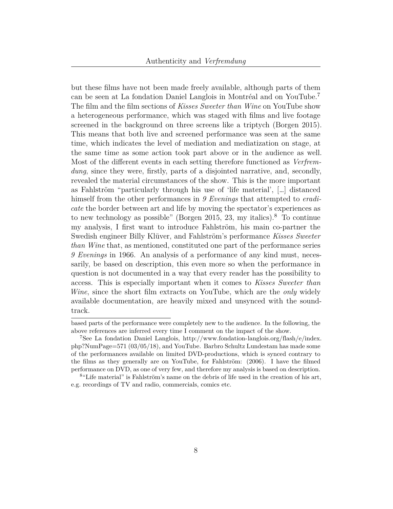but these films have not been made freely available, although parts of them can be seen at La fondation Daniel Langlois in Montréal and on YouTube.[7](#page-7-0) The film and the film sections of *Kisses Sweeter than Wine* on YouTube show a heterogeneous performance, which was staged with films and live footage screened in the background on three screens like a triptych (Borgen [2015\)](#page-19-5). This means that both live and screened performance was seen at the same time, which indicates the level of mediation and mediatization on stage, at the same time as some action took part above or in the audience as well. Most of the different events in each setting therefore functioned as *Verfremdung*, since they were, firstly, parts of a disjointed narrative, and, secondly, revealed the material circumstances of the show. This is the more important as Fahlström "particularly through his use of 'life material', […] distanced himself from the other performances in *9 Evenings* that attempted to *eradicate* the border between art and life by moving the spectator's experiences as to new technology as possible" (Borgen [2015](#page-19-5), 23, my italics).<sup>[8](#page-7-1)</sup> To continue my analysis, I first want to introduce Fahlström, his main co-partner the Swedish engineer Billy Klüver, and Fahlström's performance *Kisses Sweeter than Wine* that, as mentioned, constituted one part of the performance series *9 Evenings* in 1966. An analysis of a performance of any kind must, necessarily, be based on description, this even more so when the performance in question is not documented in a way that every reader has the possibility to access. This is especially important when it comes to *Kisses Sweeter than Wine*, since the short film extracts on YouTube, which are the *only* widely available documentation, are heavily mixed and unsynced with the soundtrack.

based parts of the performance were completely new to the audience. In the following, the above references are inferred every time I comment on the impact of the show.

<span id="page-7-0"></span><sup>7</sup>See La fondation Daniel Langlois, [http://www.fondation-langlois.org/flash/e/index.](http://www.fondation-langlois.org/flash/e/index.php?NumPage=571) [php?NumPage=571](http://www.fondation-langlois.org/flash/e/index.php?NumPage=571) (03/05/18), and YouTube. Barbro Schultz Lundestam has made some of the performances available on limited DVD-productions, which is synced contrary to the films as they generally are on YouTube, for Fahlström: ([2006\)](#page-20-3). I have the filmed performance on DVD, as one of very few, and therefore my analysis is based on description.

<span id="page-7-1"></span><sup>&</sup>lt;sup>8</sup>"Life material" is Fahlström's name on the debris of life used in the creation of his art, e.g. recordings of TV and radio, commercials, comics etc.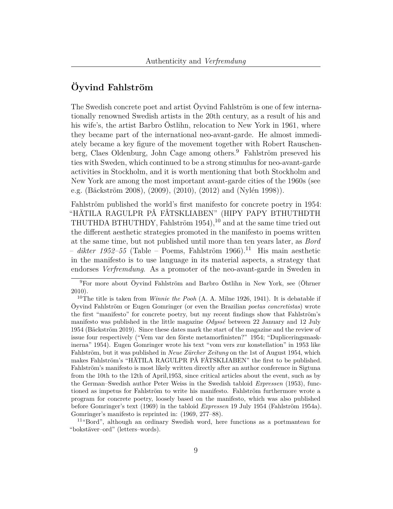## **Öyvind Fahlström**

The Swedish concrete poet and artist Öyvind Fahlström is one of few internationally renowned Swedish artists in the 20th century, as a result of his and his wife's, the artist Barbro Östlihn, relocation to New York in 1961, where they became part of the international neo-avant-garde. He almost immediately became a key figure of the movement together with Robert Rauschen-berg, Claes Oldenburg, John Cage among others.<sup>[9](#page-8-0)</sup> Fahlström preseved his ties with Sweden, which continued to be a strong stimulus for neo-avant-garde activities in Stockholm, and it is worth mentioning that both Stockholm and New York are among the most important avant-garde cities of the 1960s (see e.g. (Bäckström [2008\)](#page-19-6), ([2009](#page-19-7)), ([2010](#page-19-8)), [\(2012\)](#page-19-9) and (Nylén [1998\)](#page-21-5)).

Fahlström published the world's first manifesto for concrete poetry in 1954: "HÄTILA RAGULPR PÅ FÅTSKLIABEN" (HIPY PAPY BTHUTHDTH THUTHDA BTHUTHDY, Fahlström  $1954$ ,  $^{10}$  $^{10}$  $^{10}$  and at the same time tried out the different aesthetic strategies promoted in the manifesto in poems written at the same time, but not published until more than ten years later, as *Bord*  $-$  dikter 1952–55 (Table – Poems, Fahlström 1966).<sup>[11](#page-8-2)</sup> His main aesthetic in the manifesto is to use language in its material aspects, a strategy that endorses *Verfremdung*. As a promoter of the neo-avant-garde in Sweden in

<span id="page-8-2"></span><sup>11</sup>"Bord", although an ordinary Swedish word, here functions as a portmanteau for "bokstäver–ord" (letters–words).

<span id="page-8-0"></span><sup>9</sup>For more about Öyvind Fahlström and Barbro Östlihn in New York, see (Öhrner [2010\)](#page-21-6).

<span id="page-8-1"></span><sup>10</sup>The title is taken from *Winnie the Pooh* (A. A. Milne [1926,](#page-21-7) 1941). It is debatable if Öyvind Fahlström or Eugen Gomringer (or even the Brazilian *poetas concretistas*) wrote the first "manifesto" for concrete poetry, but my recent findings show that Fahlström's manifesto was published in the little magazine *Odyssé* between 22 January and 12 July 1954 (Bäckström [2019\)](#page-19-10). Since these dates mark the start of the magazine and the review of issue four respectively ("Vem var den förste metamorfinisten?" [1954](#page-22-1); "Dupliceringsmaskinerna" [1954\)](#page-20-4). Eugen Gomringer wrote his text "vom vers zur konstellation" in 1953 like Fahlström, but it was published in *Neue Zürcher Zeitung* on the 1st of August 1954, which makes Fahlström's "HÄTILA RAGULPR PÅ FÅTSKLIABEN" the first to be published. Fahlström's manifesto is most likely written directly after an author conference in Sigtuna from the 10th to the 12th of April,1953, since critical articles about the event, such as by the German–Swedish author Peter Weiss in the Swedish tabloid *Expressen* ([1953\)](#page-22-2), functioned as impetus for Fahlström to write his manifesto. Fahlström furthermore wrote a program for concrete poetry, loosely based on the manifesto, which was also published before Gomringer's text [\(1969](#page-20-5)) in the tabloid *Expressen* 19 July 1954 (Fahlström [1954a\)](#page-20-6). Gomringer's manifesto is reprinted in: [\(1969,](#page-20-5) 277–88).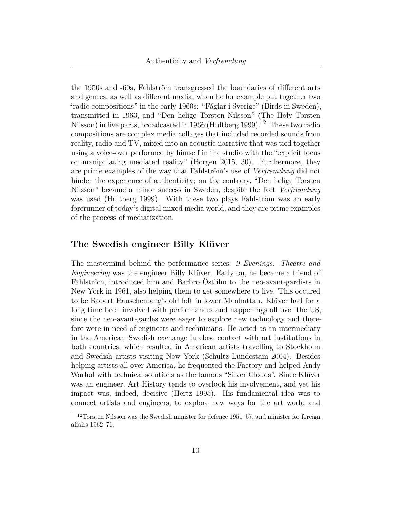the 1950s and -60s, Fahlström transgressed the boundaries of different arts and genres, as well as different media, when he for example put together two "radio compositions" in the early 1960s: "Fåglar i Sverige" (Birds in Sweden), transmitted in 1963, and "Den helige Torsten Nilsson" (The Holy Torsten Nilsson) in five parts, broadcasted in 1966 (Hultberg [1999\)](#page-20-7).<sup>[12](#page-9-0)</sup> These two radio compositions are complex media collages that included recorded sounds from reality, radio and TV, mixed into an acoustic narrative that was tied together using a voice-over performed by himself in the studio with the "explicit focus on manipulating mediated reality" (Borgen [2015,](#page-19-5) 30). Furthermore, they are prime examples of the way that Fahlström's use of *Verfremdung* did not hinder the experience of authenticity; on the contrary, "Den helige Torsten Nilsson" became a minor success in Sweden, despite the fact *Verfremdung* was used (Hultberg [1999](#page-20-7)). With these two plays Fahlström was an early forerunner of today's digital mixed media world, and they are prime examples of the process of mediatization.

#### **The Swedish engineer Billy Klüver**

The mastermind behind the performance series: *9 Evenings. Theatre and Engineering* was the engineer Billy Klüver. Early on, he became a friend of Fahlström, introduced him and Barbro Östlihn to the neo-avant-gardists in New York in 1961, also helping them to get somewhere to live. This occured to be Robert Rauschenberg's old loft in lower Manhattan. Klüver had for a long time been involved with performances and happenings all over the US, since the neo-avant-gardes were eager to explore new technology and therefore were in need of engineers and technicians. He acted as an intermediary in the American–Swedish exchange in close contact with art institutions in both countries, which resulted in American artists travelling to Stockholm and Swedish artists visiting New York (Schultz Lundestam [2004](#page-22-3)). Besides helping artists all over America, he frequented the Factory and helped Andy Warhol with technical solutions as the famous "Silver Clouds". Since Klüver was an engineer, Art History tends to overlook his involvement, and yet his impact was, indeed, decisive (Hertz [1995\)](#page-20-8). His fundamental idea was to connect artists and engineers, to explore new ways for the art world and

<span id="page-9-0"></span> $12$ Torsten Nilsson was the Swedish minister for defence 1951–57, and minister for foreign affairs 1962–71.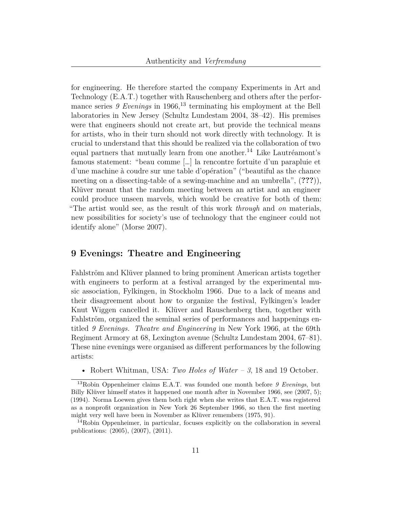for engineering. He therefore started the company Experiments in Art and Technology (E.A.T.) together with Rauschenberg and others after the performance series  $9$  Evenings in  $1966$ ,<sup>[13](#page-10-0)</sup> terminating his employment at the Bell laboratories in New Jersey (Schultz Lundestam [2004](#page-22-3), 38–42). His premises were that engineers should not create art, but provide the technical means for artists, who in their turn should not work directly with technology. It is crucial to understand that this should be realized via the collaboration of two equal partners that mutually learn from one another.<sup>[14](#page-10-1)</sup> Like Lautréamont's famous statement: "beau comme […] la rencontre fortuite d'un parapluie et d'une machine à coudre sur une table d'opération" ("beautiful as the chance meeting on a dissecting-table of a sewing-machine and an umbrella", (**???**)), Klüver meant that the random meeting between an artist and an engineer could produce unseen marvels, which would be creative for both of them: "The artist would see, as the result of this work *through* and *on* materials, new possibilities for society's use of technology that the engineer could not identify alone" (Morse [2007](#page-21-8)).

#### **9 Evenings: Theatre and Engineering**

Fahlström and Klüver planned to bring prominent American artists together with engineers to perform at a festival arranged by the experimental music association, Fylkingen, in Stockholm 1966. Due to a lack of means and their disagreement about how to organize the festival, Fylkingen's leader Knut Wiggen cancelled it. Klüver and Rauschenberg then, together with Fahlström, organized the seminal series of performances and happenings entitled *9 Evenings. Theatre and Engineering* in New York 1966, at the 69th Regiment Armory at 68, Lexington avenue (Schultz Lundestam [2004,](#page-22-3) 67–81). These nine evenings were organised as different performances by the following artists:

<span id="page-10-0"></span>• Robert Whitman, USA: *Two Holes of Water – 3*, 18 and 19 October.

<sup>13</sup>Robin Oppenheimer claims E.A.T. was founded one month before *9 Evenings*, but Billy Klüver himself states it happened one month after in November 1966, see [\(2007](#page-21-9), 5); ([1994](#page-20-9)). Norma Loewen gives them both right when she writes that E.A.T. was registered as a nonprofit organization in New York 26 September 1966, so then the first meeting might very well have been in November as Klüver remembers ([1975,](#page-20-1) 91).

<span id="page-10-1"></span><sup>&</sup>lt;sup>14</sup>Robin Oppenheimer, in particular, focuses explicitly on the collaboration in several publications: ([2005\)](#page-21-10), [\(2007](#page-21-9)), [\(2011](#page-21-4)).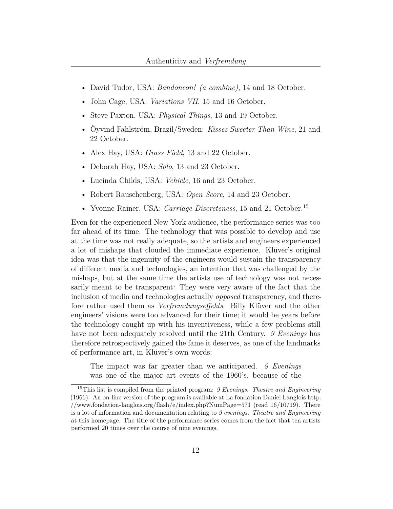- David Tudor, USA: *Bandoneon! (a combine)*, 14 and 18 October.
- John Cage, USA: *Variations VII*, 15 and 16 October.
- Steve Paxton, USA: *Physical Things*, 13 and 19 October.
- Öyvind Fahlström, Brazil/Sweden: *Kisses Sweeter Than Wine*, 21 and 22 October.
- Alex Hay, USA: *Grass Field*, 13 and 22 October.
- Deborah Hay, USA: *Solo*, 13 and 23 October.
- Lucinda Childs, USA: *Vehicle*, 16 and 23 October.
- Robert Rauschenberg, USA: *Open Score*, 14 and 23 October.
- Yvonne Rainer, USA: *Carriage Discreteness*, [15](#page-11-0) and 21 October.<sup>15</sup>

Even for the experienced New York audience, the performance series was too far ahead of its time. The technology that was possible to develop and use at the time was not really adequate, so the artists and engineers experienced a lot of mishaps that clouded the immediate experience. Klüver's original idea was that the ingenuity of the engineers would sustain the transparency of different media and technologies, an intention that was challenged by the mishaps, but at the same time the artists use of technology was not necessarily meant to be transparent: They were very aware of the fact that the inclusion of media and technologies actually *opposed* transparency, and therefore rather used them as *Verfremdungseffekts*. Billy Klüver and the other engineers' visions were too advanced for their time; it would be years before the technology caught up with his inventiveness, while a few problems still have not been adequately resolved until the 21th Century. *9 Evenings* has therefore retrospectively gained the fame it deserves, as one of the landmarks of performance art, in Klüver's own words:

The impact was far greater than we anticipated. *9 Evenings* was one of the major art events of the 1960's, because of the

<span id="page-11-0"></span><sup>15</sup>This list is compiled from the printed program: *9 Evenings. Theatre and Engineering* (1966). An on-line version of the program is available at La fondation Daniel Langlois [http:](http://www.fondation-langlois.org/flash/e/index.php?NumPage=571) [//www.fondation-langlois.org/flash/e/index.php?NumPage=571](http://www.fondation-langlois.org/flash/e/index.php?NumPage=571) (read  $16/10/19$ ). There is a lot of information and documentation relating to *9 evenings. Theatre and Engineering* at this homepage. The title of the performance series comes from the fact that ten artists performed 20 times over the course of nine evenings.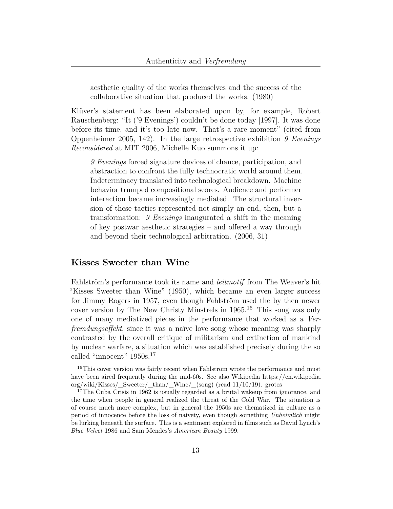aesthetic quality of the works themselves and the success of the collaborative situation that produced the works. ([1980](#page-20-10))

Klüver's statement has been elaborated upon by, for example, Robert Rauschenberg: "It ('9 Evenings') couldn't be done today [1997]. It was done before its time, and it's too late now. That's a rare moment" (cited from Oppenheimer [2005,](#page-21-10) 142). In the large retrospective exhibition *9 Evenings Reconsidered* at MIT 2006, Michelle Kuo summons it up:

*9 Evenings* forced signature devices of chance, participation, and abstraction to confront the fully technocratic world around them. Indeterminacy translated into technological breakdown. Machine behavior trumped compositional scores. Audience and performer interaction became increasingly mediated. The structural inversion of these tactics represented not simply an end, then, but a transformation: *9 Evenings* inaugurated a shift in the meaning of key postwar aesthetic strategies – and offered a way through and beyond their technological arbitration. [\(2006,](#page-20-2) 31)

### **Kisses Sweeter than Wine**

Fahlström's performance took its name and *leitmotif* from The Weaver's hit "Kisses Sweeter than Wine" (1950), which became an even larger success for Jimmy Rogers in 1957, even though Fahlström used the by then newer cover version by The New Christy Minstrels in  $1965$ .<sup>[16](#page-12-0)</sup> This song was only one of many mediatized pieces in the performance that worked as a *Verfremdungseffekt*, since it was a naïve love song whose meaning was sharply contrasted by the overall critique of militarism and extinction of mankind by nuclear warfare, a situation which was established precisely during the so called "innocent" 1950s.<sup>[17](#page-12-1)</sup>

<span id="page-12-0"></span><sup>&</sup>lt;sup>16</sup>This cover version was fairly recent when Fahlström wrote the performance and must have been aired frequently during the mid-60s. See also Wikipedia [https://en.wikipedia.](https://en.wikipedia.org/wiki/Kisses/_Sweeter/_than/_Wine/_(song)) [org/wiki/Kisses/\\_Sweeter/\\_than/\\_Wine/\\_\(song\)](https://en.wikipedia.org/wiki/Kisses/_Sweeter/_than/_Wine/_(song)) (read 11/10/19). grotes

<span id="page-12-1"></span><sup>&</sup>lt;sup>17</sup>The Cuba Crisis in 1962 is usually regarded as a brutal wakeup from ignorance, and the time when people in general realized the threat of the Cold War. The situation is of course much more complex, but in general the 1950s are thematized in culture as a period of innocence before the loss of naivety, even though something *Unheimlich* might be lurking beneath the surface. This is a sentiment explored in films such as David Lynch's *Blue Velvet* 1986 and Sam Mendes's *American Beauty* 1999.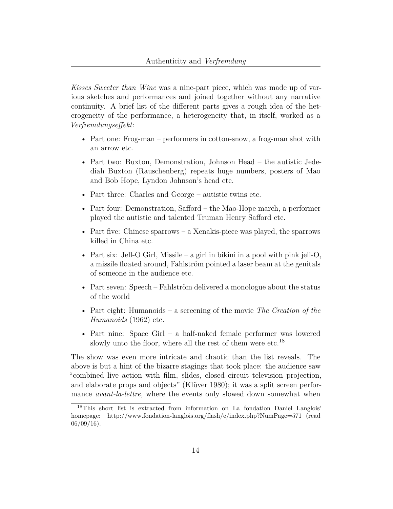*Kisses Sweeter than Wine* was a nine-part piece, which was made up of various sketches and performances and joined together without any narrative continuity. A brief list of the different parts gives a rough idea of the heterogeneity of the performance, a heterogeneity that, in itself, worked as a *Verfremdungseffekt*:

- Part one: Frog-man performers in cotton-snow, a frog-man shot with an arrow etc.
- Part two: Buxton, Demonstration, Johnson Head the autistic Jedediah Buxton (Rauschenberg) repeats huge numbers, posters of Mao and Bob Hope, Lyndon Johnson's head etc.
- Part three: Charles and George autistic twins etc.
- Part four: Demonstration, Safford the Mao-Hope march, a performer played the autistic and talented Truman Henry Safford etc.
- Part five: Chinese sparrows a Xenakis-piece was played, the sparrows killed in China etc.
- Part six: Jell-O Girl, Missile a girl in bikini in a pool with pink jell-O, a missile floated around, Fahlström pointed a laser beam at the genitals of someone in the audience etc.
- Part seven: Speech Fahlström delivered a monologue about the status of the world
- Part eight: Humanoids a screening of the movie *The Creation of the Humanoids* (1962) etc.
- Part nine: Space Girl a half-naked female performer was lowered slowly unto the floor, where all the rest of them were etc.<sup>[18](#page-13-0)</sup>

The show was even more intricate and chaotic than the list reveals. The above is but a hint of the bizarre stagings that took place: the audience saw "combined live action with film, slides, closed circuit television projection, and elaborate props and objects" (Klüver [1980](#page-20-10)); it was a split screen performance *avant-la-lettre*, where the events only slowed down somewhat when

<span id="page-13-0"></span><sup>18</sup>This short list is extracted from information on La fondation Daniel Langlois' homepage: <http://www.fondation-langlois.org/flash/e/index.php?NumPage=571> (read  $06/09/16$ ).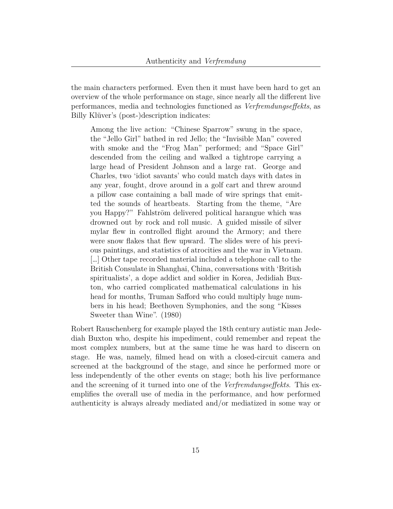the main characters performed. Even then it must have been hard to get an overview of the whole performance on stage, since nearly all the different live performances, media and technologies functioned as *Verfremdungseffekts*, as Billy Klüver's (post-)description indicates:

Among the live action: "Chinese Sparrow" swung in the space, the "Jello Girl" bathed in red Jello; the "Invisible Man" covered with smoke and the "Frog Man" performed; and "Space Girl" descended from the ceiling and walked a tightrope carrying a large head of President Johnson and a large rat. George and Charles, two 'idiot savants' who could match days with dates in any year, fought, drove around in a golf cart and threw around a pillow case containing a ball made of wire springs that emitted the sounds of heartbeats. Starting from the theme, "Are you Happy?" Fahlström delivered political harangue which was drowned out by rock and roll music. A guided missile of silver mylar flew in controlled flight around the Armory; and there were snow flakes that flew upward. The slides were of his previous paintings, and statistics of atrocities and the war in Vietnam. […] Other tape recorded material included a telephone call to the British Consulate in Shanghai, China, conversations with 'British spiritualists', a dope addict and soldier in Korea, Jedidiah Buxton, who carried complicated mathematical calculations in his head for months, Truman Safford who could multiply huge numbers in his head; Beethoven Symphonies, and the song "Kisses Sweeter than Wine". [\(1980\)](#page-20-10)

Robert Rauschenberg for example played the 18th century autistic man Jedediah Buxton who, despite his impediment, could remember and repeat the most complex numbers, but at the same time he was hard to discern on stage. He was, namely, filmed head on with a closed-circuit camera and screened at the background of the stage, and since he performed more or less independently of the other events on stage; both his live performance and the screening of it turned into one of the *Verfremdungseffekts*. This exemplifies the overall use of media in the performance, and how performed authenticity is always already mediated and/or mediatized in some way or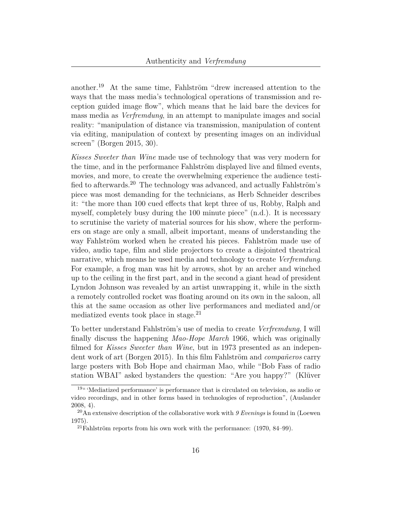another.[19](#page-15-0) At the same time, Fahlström "drew increased attention to the ways that the mass media's technological operations of transmission and reception guided image flow", which means that he laid bare the devices for mass media as *Verfremdung*, in an attempt to manipulate images and social reality: "manipulation of distance via transmission, manipulation of content via editing, manipulation of context by presenting images on an individual screen" (Borgen [2015,](#page-19-5) 30).

*Kisses Sweeter than Wine* made use of technology that was very modern for the time, and in the performance Fahlström displayed live and filmed events, movies, and more, to create the overwhelming experience the audience testified to afterwards.[20](#page-15-1) The technology was advanced, and actually Fahlström's piece was most demanding for the technicians, as Herb Schneider describes it: "the more than 100 cued effects that kept three of us, Robby, Ralph and myself, completely busy during the 100 minute piece" ([n.d.](#page-22-4)). It is necessary to scrutinise the variety of material sources for his show, where the performers on stage are only a small, albeit important, means of understanding the way Fahlström worked when he created his pieces. Fahlström made use of video, audio tape, film and slide projectors to create a disjointed theatrical narrative, which means he used media and technology to create *Verfremdung*. For example, a frog man was hit by arrows, shot by an archer and winched up to the ceiling in the first part, and in the second a giant head of president Lyndon Johnson was revealed by an artist unwrapping it, while in the sixth a remotely controlled rocket was floating around on its own in the saloon, all this at the same occasion as other live performances and mediated and/or mediatized events took place in stage. $^{21}$  $^{21}$  $^{21}$ 

To better understand Fahlström's use of media to create *Verfremdung*, I will finally discuss the happening *Mao-Hope March* 1966, which was originally filmed for *Kisses Sweeter than Wine*, but in 1973 presented as an independent work of art (Borgen [2015\)](#page-19-5). In this film Fahlström and *compañeros* carry large posters with Bob Hope and chairman Mao, while "Bob Fass of radio station WBAI" asked bystanders the question: "Are you happy?" (Klüver

<span id="page-15-0"></span><sup>19</sup>" 'Mediatized performance' is performance that is circulated on television, as audio or video recordings, and in other forms based in technologies of reproduction", (Auslander [2008,](#page-19-1) 4).

<span id="page-15-1"></span><sup>20</sup>An extensive description of the collaborative work with *9 Evenings* is found in (Loewen [1975\)](#page-20-1).

<span id="page-15-2"></span> $^{21}$ Fahlström reports from his own work with the performance: [\(1970](#page-20-11), 84–99).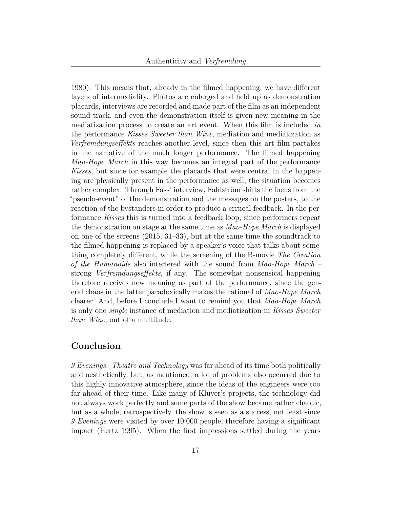[1980](#page-20-10)). This means that, already in the filmed happening, we have different layers of intermediality. Photos are enlarged and held up as demonstration placards, interviews are recorded and made part of the film as an independent sound track, and even the demonstration itself is given new meaning in the mediatization process to create an art event. When this film is included *in* the performance *Kisses Sweeter than Wine*, mediation and mediatization as *Verfremdungseffekts* reaches another level, since then this art film partakes in the narrative of the much longer performance. The filmed happening *Mao-Hope March* in this way becomes an integral part of the performance *Kisses*, but since for example the placards that were central in the happening are physically present in the performance as well, the situation becomes rather complex. Through Fass' interview, Fahlström shifts the focus from the "pseudo-event" of the demonstration and the messages on the posters, to the reaction of the bystanders in order to produce a critical feedback. In the performance *Kisses* this is turned into a feedback loop, since performers repeat the demonstration on stage at the same time as *Mao-Hope March* is displayed on one of the screens [\(2015](#page-19-5), 31–33), but at the same time the soundtrack to the filmed happening is replaced by a speaker's voice that talks about something completely different, while the screening of the B-movie *The Creation of the Humanoids* also interfered with the sound from *Mao-Hope March* – strong *Verfremdungseffekts*, if any. The somewhat nonsensical happening therefore receives new meaning as part of the performance, since the general chaos in the latter paradoxically makes the rational of *Mao-Hope March* clearer. And, before I conclude I want to remind you that *Mao-Hope March* is only one *single* instance of mediation and mediatization in *Kisses Sweeter than Wine*, out of a multitude.

#### **Conclusion**

*9 Evenings. Theatre and Technology* was far ahead of its time both politically and aesthetically, but, as mentioned, a lot of problems also occurred due to this highly innovative atmosphere, since the ideas of the engineers were too far ahead of their time. Like many of Klüver's projects, the technology did not always work perfectly and some parts of the show became rather chaotic, but as a whole, retrospectively, the show is seen as a success, not least since *9 Evenings* were visited by over 10.000 people, therefore having a significant impact (Hertz [1995](#page-20-8)). When the first impressions settled during the years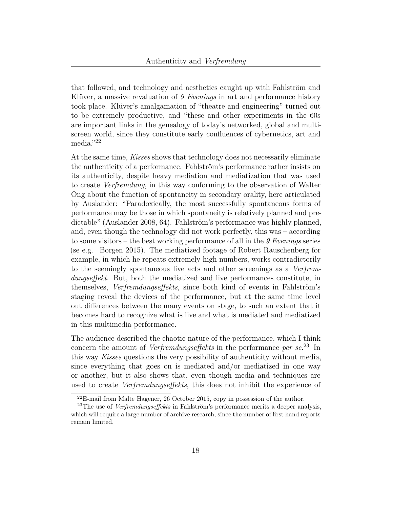that followed, and technology and aesthetics caught up with Fahlström and Klüver, a massive revaluation of *9 Evenings* in art and performance history took place. Klüver's amalgamation of "theatre and engineering" turned out to be extremely productive, and "these and other experiments in the 60s are important links in the genealogy of today's networked, global and multiscreen world, since they constitute early confluences of cybernetics, art and media."[22](#page-17-0)

At the same time, *Kisses* shows that technology does not necessarily eliminate the authenticity of a performance. Fahlström's performance rather insists on its authenticity, despite heavy mediation and mediatization that was used to create *Verfremdung*, in this way conforming to the observation of Walter Ong about the function of spontaneity in secondary orality, here articulated by Auslander: "Paradoxically, the most successfully spontaneous forms of performance may be those in which spontaneity is relatively planned and predictable" (Auslander [2008](#page-19-1), 64). Fahlström's performance was highly planned, and, even though the technology did not work perfectly, this was – according to some visitors – the best working performance of all in the *9 Evenings* series (se e.g. Borgen [2015](#page-19-5)). The mediatized footage of Robert Rauschenberg for example, in which he repeats extremely high numbers, works contradictorily to the seemingly spontaneous live acts and other screenings as a *Verfremdungseffekt*. But, both the mediatized and live performances constitute, in themselves, *Verfremdungseffekts*, since both kind of events in Fahlström's staging reveal the devices of the performance, but at the same time level out differences between the many events on stage, to such an extent that it becomes hard to recognize what is live and what is mediated and mediatized in this multimedia performance.

The audience described the chaotic nature of the performance, which I think concern the amount of *Verfremdungseffekts* in the performance *per se*. [23](#page-17-1) In this way *Kisses* questions the very possibility of authenticity without media, since everything that goes on is mediated and/or mediatized in one way or another, but it also shows that, even though media and techniques are used to create *Verfremdungseffekts*, this does not inhibit the experience of

<span id="page-17-1"></span><span id="page-17-0"></span><sup>22</sup>E-mail from Malte Hagener, 26 October 2015, copy in possession of the author.

<sup>23</sup>The use of *Verfremdungseffekts* in Fahlström's performance merits a deeper analysis, which will require a large number of archive research, since the number of first hand reports remain limited.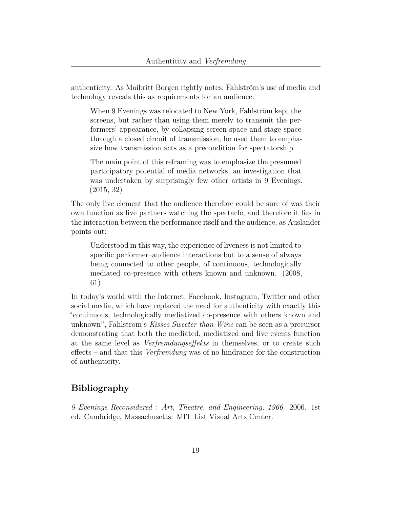authenticity. As Maibritt Borgen rightly notes, Fahlström's use of media and technology reveals this as requirements for an audience:

When 9 Evenings was relocated to New York, Fahlström kept the screens, but rather than using them merely to transmit the performers' appearance, by collapsing screen space and stage space through a closed circuit of transmission, he used them to emphasize how transmission acts as a precondition for spectatorship.

The main point of this reframing was to emphasize the presumed participatory potential of media networks, an investigation that was undertaken by surprisingly few other artists in 9 Evenings. ([2015](#page-19-5), 32)

The only live element that the audience therefore could be sure of was their own function as live partners watching the spectacle, and therefore it lies in the interaction between the performance itself and the audience, as Auslander points out:

Understood in this way, the experience of liveness is not limited to specific performer–audience interactions but to a sense of always being connected to other people, of continuous, technologically mediated co-presence with others known and unknown. [\(2008,](#page-19-1) 61)

In today's world with the Internet, Facebook, Instagram, Twitter and other social media, which have replaced the need for authenticity with exactly this "continuous, technologically mediatized co-presence with others known and unknown", Fahlström's *Kisses Sweeter than Wine* can be seen as a precursor demonstrating that both the mediated, mediatized and live events function at the same level as *Verfremdungseffekts* in themselves, or to create such effects – and that this *Verfremdung* was of no hindrance for the construction of authenticity.

## **Bibliography**

*9 Evenings Reconsidered : Art, Theatre, and Engineering, 1966.* 2006. 1st ed. Cambridge, Massachusetts: MIT List Visual Arts Center.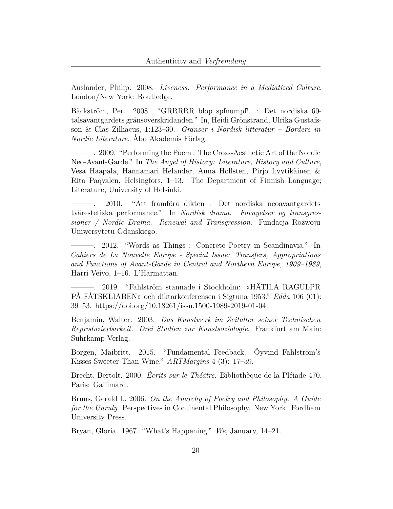<span id="page-19-1"></span>Auslander, Philip. 2008. *Liveness. Performance in a Mediatized Culture*. London/New York: Routledge.

<span id="page-19-6"></span>Bäckström, Per. 2008. "GRRRRR blop spfnumpf! : Det nordiska 60 talsavantgardets gränsöverskridanden." In, Heidi Grönstrand, Ulrika Gustafsson & Clas Zilliacus, 1:123–30. *Gränser i Nordisk litteratur – Borders in Nordic Literature*. Åbo Akademis Förlag.

<span id="page-19-7"></span>-. 2009. "Performing the Poem : The Cross-Aesthetic Art of the Nordic Neo-Avant-Garde." In *The Angel of History: Literature, History and Culture*, Vesa Haapala, Hannamari Helander, Anna Hollsten, Pirjo Lyytikäinen & Rita Paqvalen, Helsingfors, 1–13. The Department of Finnish Language; Literature, University of Helsinki.

<span id="page-19-8"></span>———. 2010. "Att framföra dikten : Det nordiska neoavantgardets tvärestetiska performance." In *Nordisk drama. Fornyelser og transgressioner / Nordic Drama. Renewal and Transgression*. Fundacja Rozwoju Uniwersytetu Gdanskiego.

<span id="page-19-9"></span>———. 2012. "Words as Things : Concrete Poetry in Scandinavia." In *Cahiers de La Nouvelle Europe - Special Issue: Transfers, Appropriations and Functions of Avant-Garde in Central and Northern Europe, 1909–1989*, Harri Veivo, 1–16. L'Harmattan.

<span id="page-19-10"></span>———. 2019. "Fahlström stannade i Stockholm: «HÄTILA RAGULPR PÅ FÅTSKLIABEN» och diktarkonferensen i Sigtuna 1953." *Edda* 106 (01): 39–53. [https://doi.org/10.18261/issn.1500-1989-2019-01-04.](https://doi.org/10.18261/issn.1500-1989-2019-01-04)

<span id="page-19-0"></span>Benjamin, Walter. 2003. *Das Kunstwerk im Zeitalter seiner Technischen Reproduzierbarkeit. Drei Studien zur Kunstsoziologie*. Frankfurt am Main: Suhrkamp Verlag.

<span id="page-19-5"></span>Borgen, Maibritt. 2015. "Fundamental Feedback. Öyvind Fahlström's Kisses Sweeter Than Wine." *ARTMargins* 4 (3): 17–39.

<span id="page-19-3"></span>Brecht, Bertolt. 2000. *Écrits sur le Théâtre*. Bibliothèque de la Pléiade 470. Paris: Gallimard.

<span id="page-19-2"></span>Bruns, Gerald L. 2006. *On the Anarchy of Poetry and Philosophy. A Guide for the Unruly*. Perspectives in Continental Philosophy. New York: Fordham University Press.

<span id="page-19-4"></span>Bryan, Gloria. 1967. "What's Happening." *We*, January, 14–21.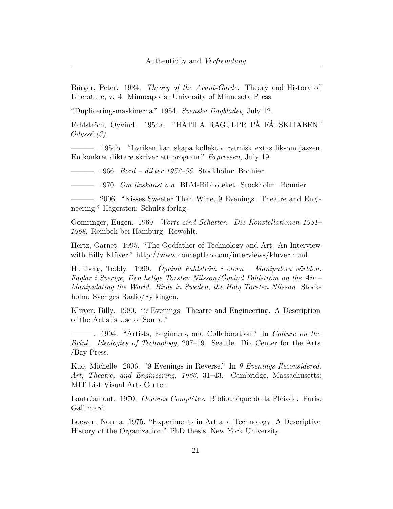<span id="page-20-0"></span>Bürger, Peter. 1984. *Theory of the Avant-Garde*. Theory and History of Literature, v. 4. Minneapolis: University of Minnesota Press.

<span id="page-20-4"></span>"Dupliceringsmaskinerna." 1954. *Svenska Dagbladet,* July 12.

<span id="page-20-6"></span>Fahlström, Öyvind. 1954a. "HÄTILA RAGULPR PÅ FÅTSKLIABEN." *Odyssé (3)*.

———. 1954b. "Lyriken kan skapa kollektiv rytmisk extas liksom jazzen. En konkret diktare skriver ett program." *Expressen,* July 19.

———. 1966. *Bord – dikter 1952–55*. Stockholm: Bonnier.

<span id="page-20-11"></span>———. 1970. *Om livskonst o.a*. BLM-Biblioteket. Stockholm: Bonnier.

<span id="page-20-3"></span>———. 2006. "Kisses Sweeter Than Wine, 9 Evenings. Theatre and Engineering." Hägersten: Schultz förlag.

<span id="page-20-5"></span>Gomringer, Eugen. 1969. *Worte sind Schatten. Die Konstellationen 1951– 1968*. Reinbek bei Hamburg: Rowohlt.

<span id="page-20-8"></span>Hertz, Garnet. 1995. "The Godfather of Technology and Art. An Interview with Billy Klüver." <http://www.conceptlab.com/interviews/kluver.html>.

<span id="page-20-7"></span>Hultberg, Teddy. 1999. *Öyvind Fahlström i etern – Manipulera världen. Fåglar i Sverige, Den helige Torsten Nilsson/Öyvind Fahlström on the Air – Manipulating the World. Birds in Sweden, the Holy Torsten Nilsson*. Stockholm: Sveriges Radio/Fylkingen.

<span id="page-20-10"></span>Klüver, Billy. 1980. "9 Evenings: Theatre and Engineering. A Description of the Artist's Use of Sound."

<span id="page-20-9"></span>———. 1994. "Artists, Engineers, and Collaboration." In *Culture on the Brink. Ideologies of Technology*, 207–19. Seattle: Dia Center for the Arts /Bay Press.

<span id="page-20-2"></span>Kuo, Michelle. 2006. "9 Evenings in Reverse." In *9 Evenings Reconsidered. Art, Theatre, and Engineering, 1966*, 31–43. Cambridge, Massachusetts: MIT List Visual Arts Center.

Lautréamont. 1970. *Oeuvres Complètes*. Bibliothéque de la Pléiade. Paris: Gallimard.

<span id="page-20-1"></span>Loewen, Norma. 1975. "Experiments in Art and Technology. A Descriptive History of the Organization." PhD thesis, New York University.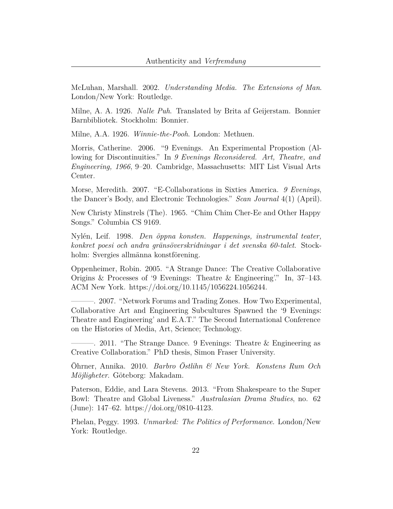<span id="page-21-2"></span>McLuhan, Marshall. 2002. *Understanding Media. The Extensions of Man*. London/New York: Routledge.

<span id="page-21-7"></span>Milne, A. A. 1926. *Nalle Puh*. Translated by Brita af Geijerstam. Bonnier Barnbibliotek. Stockholm: Bonnier.

Milne, A.A. 1926. *Winnie-the-Pooh*. London: Methuen.

<span id="page-21-3"></span>Morris, Catherine. 2006. "9 Evenings. An Experimental Propostion (Allowing for Discontinuities." In *9 Evenings Reconsidered. Art, Theatre, and Engineering, 1966*, 9–20. Cambridge, Massachusetts: MIT List Visual Arts Center.

<span id="page-21-8"></span>Morse, Meredith. 2007. "E-Collaborations in Sixties America. *9 Evenings*, the Dancer's Body, and Electronic Technologies." *Scan Journal* 4(1) (April).

New Christy Minstrels (The). 1965. "Chim Chim Cher-Ee and Other Happy Songs." Columbia CS 9169.

<span id="page-21-5"></span>Nylén, Leif. 1998. *Den öppna konsten. Happenings, instrumental teater, konkret poesi och andra gränsöverskridningar i det svenska 60-talet*. Stockholm: Svergies allmänna konstförening.

<span id="page-21-10"></span>Oppenheimer, Robin. 2005. "A Strange Dance: The Creative Collaborative Origins & Processes of '9 Evenings: Theatre & Engineering'." In, 37–143. ACM New York. <https://doi.org/10.1145/1056224.1056244>.

<span id="page-21-9"></span>———. 2007. "Network Forums and Trading Zones. How Two Experimental, Collaborative Art and Engineering Subcultures Spawned the '9 Evenings: Theatre and Engineering' and E.A.T." The Second International Conference on the Histories of Media, Art, Science; Technology.

<span id="page-21-4"></span> $\sim$  2011. "The Strange Dance. 9 Evenings: Theatre & Engineering as Creative Collaboration." PhD thesis, Simon Fraser University.

<span id="page-21-6"></span>Öhrner, Annika. 2010. *Barbro Östlihn & New York. Konstens Rum Och Möjligheter*. Göteborg: Makadam.

<span id="page-21-1"></span>Paterson, Eddie, and Lara Stevens. 2013. "From Shakespeare to the Super Bowl: Theatre and Global Liveness." *Australasian Drama Studies*, no. 62 (June): 147–62. [https://doi.org/0810-4123.](https://doi.org/0810-4123)

<span id="page-21-0"></span>Phelan, Peggy. 1993. *Unmarked: The Politics of Performance*. London/New York: Routledge.